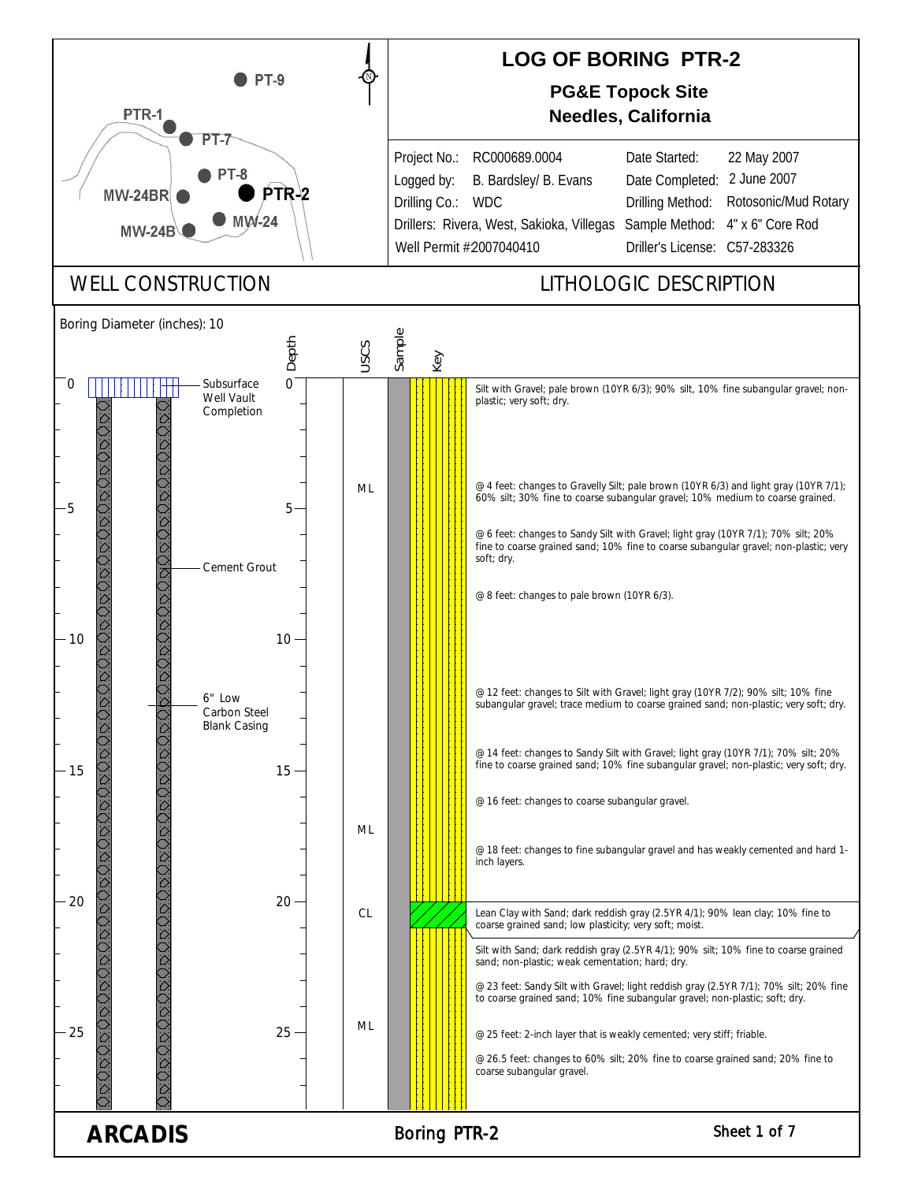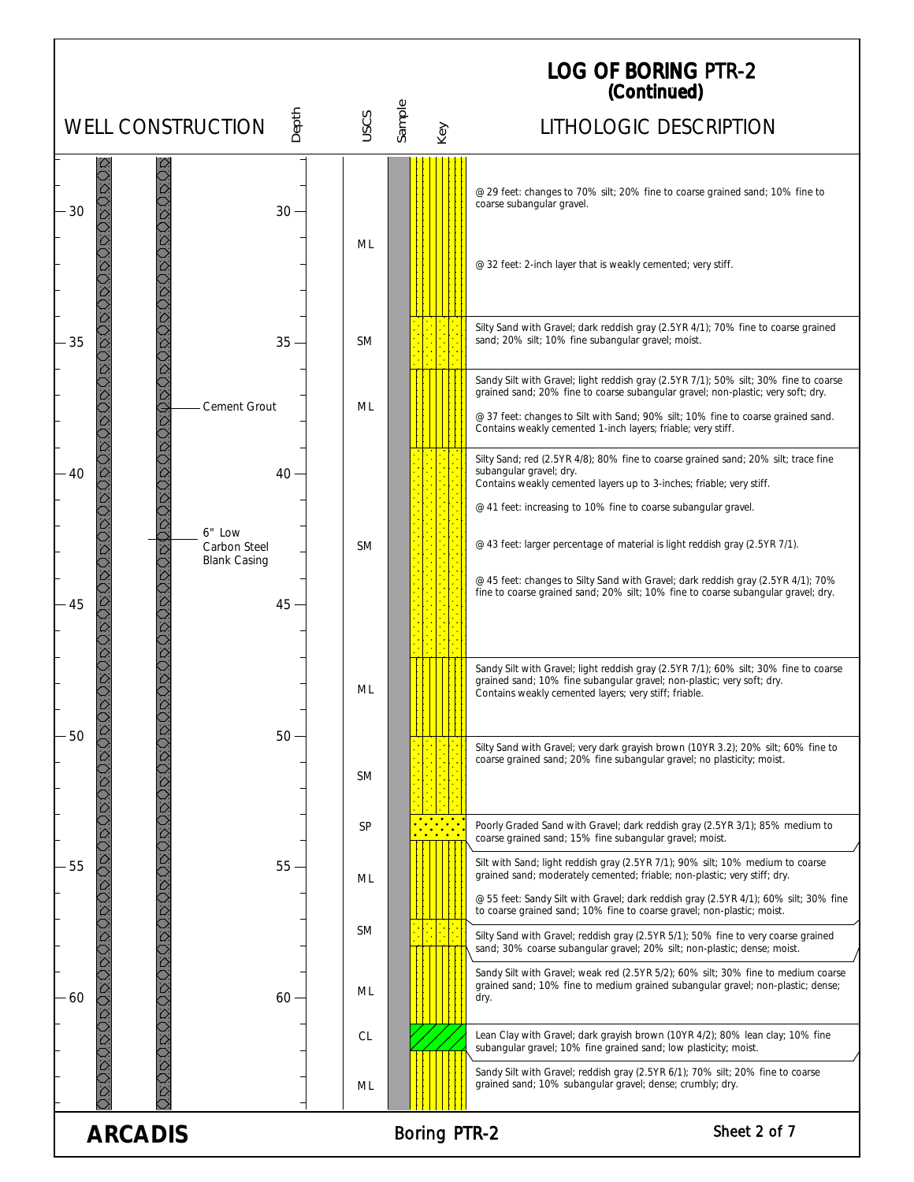|                                                               |           |               | <b>LOG OF BORING PTR-2</b><br>(Continued)                                                                                                                                                                                                                                                                                     |  |
|---------------------------------------------------------------|-----------|---------------|-------------------------------------------------------------------------------------------------------------------------------------------------------------------------------------------------------------------------------------------------------------------------------------------------------------------------------|--|
| Depth<br><b>WELL CONSTRUCTION</b>                             | USCS      | Sample<br>Key | LITHOLOGIC DESCRIPTION                                                                                                                                                                                                                                                                                                        |  |
| 30<br>30                                                      | ML        |               | @ 29 feet: changes to 70% silt; 20% fine to coarse grained sand; 10% fine to<br>coarse subangular gravel.                                                                                                                                                                                                                     |  |
|                                                               |           |               | @ 32 feet: 2-inch layer that is weakly cemented; very stiff.                                                                                                                                                                                                                                                                  |  |
| 35<br>$35 -$                                                  | <b>SM</b> |               | Silty Sand with Gravel; dark reddish gray (2.5YR 4/1); 70% fine to coarse grained<br>sand; 20% silt; 10% fine subangular gravel; moist.                                                                                                                                                                                       |  |
| Cement Grout                                                  | ML        |               | Sandy Silt with Gravel; light reddish gray (2.5YR 7/1); 50% silt; 30% fine to coarse<br>grained sand; 20% fine to coarse subangular gravel; non-plastic; very soft; dry.<br>@ 37 feet: changes to Silt with Sand; 90% silt; 10% fine to coarse grained sand.<br>Contains weakly cemented 1-inch layers; friable; very stiff.  |  |
| $40 -$<br>40                                                  |           |               | Silty Sand; red (2.5YR 4/8); 80% fine to coarse grained sand; 20% silt; trace fine<br>subangular gravel; dry.<br>Contains weakly cemented layers up to 3-inches; friable; very stiff.<br>@ 41 feet: increasing to 10% fine to coarse subangular gravel.                                                                       |  |
| 6" Low<br>Carbon Steel<br><b>Blank Casing</b><br>$45 -$<br>45 | <b>SM</b> |               | @ 43 feet: larger percentage of material is light reddish gray (2.5YR 7/1).<br>@ 45 feet: changes to Silty Sand with Gravel; dark reddish gray (2.5YR 4/1); 70%<br>fine to coarse grained sand; 20% silt; 10% fine to coarse subangular gravel; dry.                                                                          |  |
|                                                               | ML        |               | Sandy Silt with Gravel; light reddish gray (2.5YR 7/1); 60% silt; 30% fine to coarse<br>grained sand; 10% fine subangular gravel; non-plastic; very soft; dry.<br>Contains weakly cemented layers; very stiff; friable.                                                                                                       |  |
| 50<br>$50 -$                                                  | <b>SM</b> |               | Silty Sand with Gravel; very dark grayish brown (10YR 3.2); 20% silt; 60% fine to<br>coarse grained sand; 20% fine subangular gravel; no plasticity; moist.                                                                                                                                                                   |  |
|                                                               | SP        |               | Poorly Graded Sand with Gravel; dark reddish gray (2.5YR 3/1); 85% medium to<br>coarse grained sand; 15% fine subangular gravel; moist.                                                                                                                                                                                       |  |
| 55<br>$55 -$                                                  | ML        |               | Silt with Sand; light reddish gray (2.5YR 7/1); 90% silt; 10% medium to coarse<br>grained sand; moderately cemented; friable; non-plastic; very stiff; dry.<br>@ 55 feet: Sandy Silt with Gravel; dark reddish gray (2.5YR 4/1); 60% silt; 30% fine<br>to coarse grained sand; 10% fine to coarse gravel; non-plastic; moist. |  |
|                                                               | <b>SM</b> |               | Silty Sand with Gravel; reddish gray (2.5YR 5/1); 50% fine to very coarse grained<br>sand; 30% coarse subangular gravel; 20% silt; non-plastic; dense; moist.                                                                                                                                                                 |  |
| $60 -$<br>60                                                  | ML        |               | Sandy Silt with Gravel; weak red (2.5YR 5/2); 60% silt; 30% fine to medium coarse<br>grained sand; 10% fine to medium grained subangular gravel; non-plastic; dense;<br>dry.                                                                                                                                                  |  |
|                                                               | CL        |               | Lean Clay with Gravel; dark grayish brown (10YR 4/2); 80% lean clay; 10% fine<br>subangular gravel; 10% fine grained sand; low plasticity; moist.                                                                                                                                                                             |  |
|                                                               | ML        |               | Sandy Silt with Gravel; reddish gray (2.5YR 6/1); 70% silt; 20% fine to coarse<br>grained sand; 10% subangular gravel; dense; crumbly; dry.                                                                                                                                                                                   |  |
| Sheet 2 of 7<br><b>ARCADIS</b><br><b>Boring PTR-2</b>         |           |               |                                                                                                                                                                                                                                                                                                                               |  |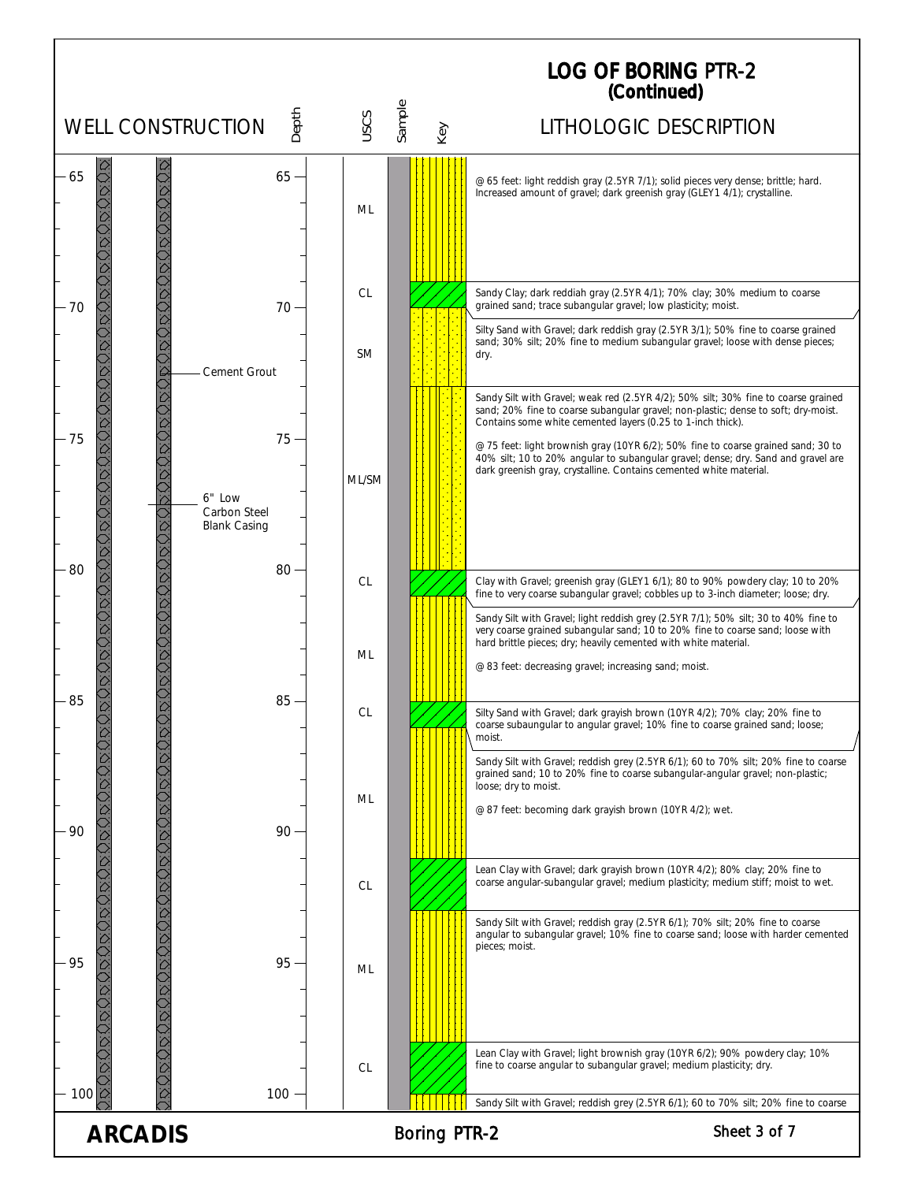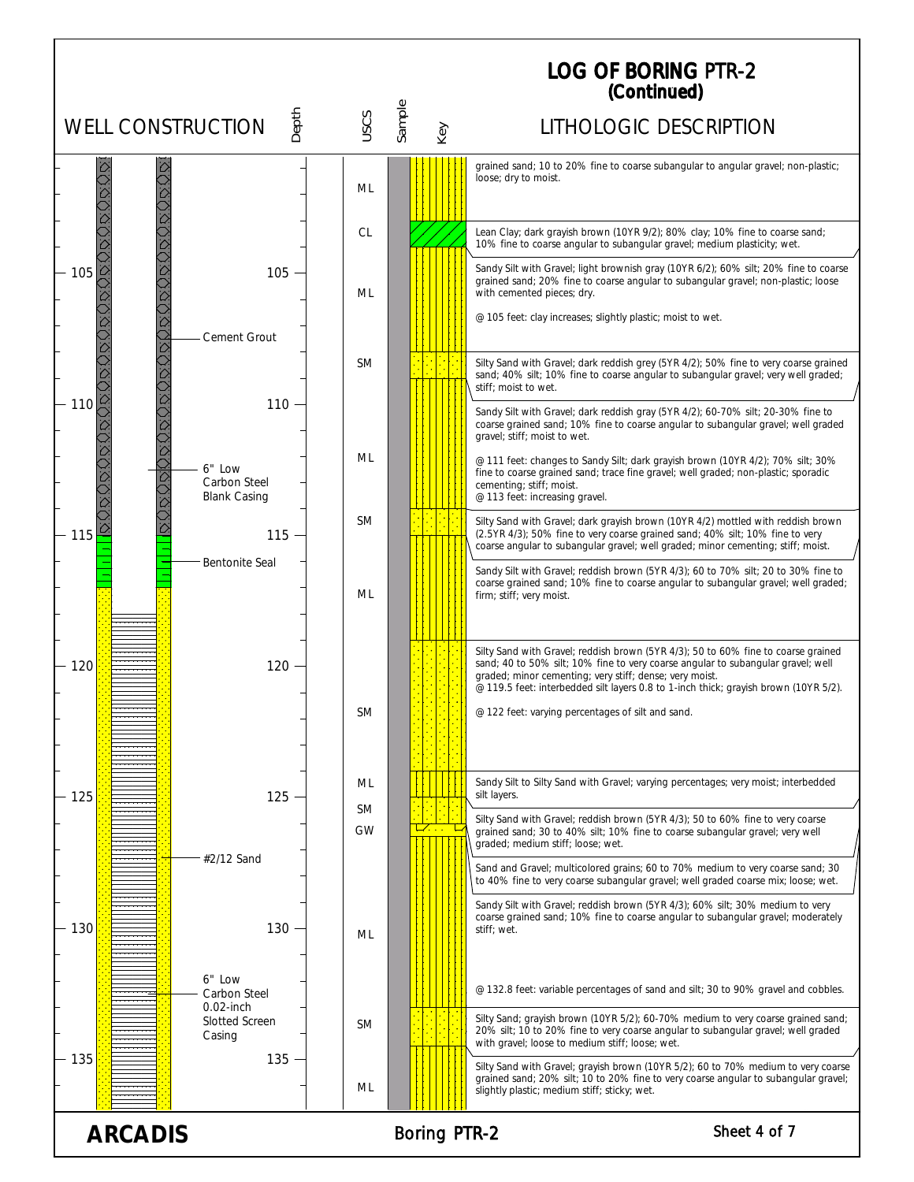|                          |                                               |                        |               | <b>LOG OF BORING PTR-2</b><br>(Continued)                                                                                                                                                                                                                                                                                                                                     |
|--------------------------|-----------------------------------------------|------------------------|---------------|-------------------------------------------------------------------------------------------------------------------------------------------------------------------------------------------------------------------------------------------------------------------------------------------------------------------------------------------------------------------------------|
| <b>WELL CONSTRUCTION</b> | Depth                                         | <b>USCS</b>            | Sample<br>Key | LITHOLOGIC DESCRIPTION                                                                                                                                                                                                                                                                                                                                                        |
|                          |                                               | ML                     |               | grained sand; 10 to 20% fine to coarse subangular to angular gravel; non-plastic;<br>loose; dry to moist.                                                                                                                                                                                                                                                                     |
|                          |                                               | CL                     |               | Lean Clay; dark grayish brown (10YR 9/2); 80% clay; 10% fine to coarse sand;<br>10% fine to coarse angular to subangular gravel; medium plasticity; wet.                                                                                                                                                                                                                      |
| 105                      | $105 -$<br>Cement Grout                       | ML                     |               | Sandy Silt with Gravel; light brownish gray (10YR 6/2); 60% silt; 20% fine to coarse<br>grained sand; 20% fine to coarse angular to subangular gravel; non-plastic; loose<br>with cemented pieces; dry.<br>@ 105 feet: clay increases; slightly plastic; moist to wet.                                                                                                        |
| 110                      | 110                                           | <b>SM</b>              |               | Silty Sand with Gravel; dark reddish grey (5YR 4/2); 50% fine to very coarse grained<br>sand; 40% silt; 10% fine to coarse angular to subangular gravel; very well graded;<br>stiff; moist to wet.                                                                                                                                                                            |
|                          |                                               |                        |               | Sandy Silt with Gravel; dark reddish gray (5YR 4/2); 60-70% silt; 20-30% fine to<br>coarse grained sand; 10% fine to coarse angular to subangular gravel; well graded<br>gravel; stiff; moist to wet.                                                                                                                                                                         |
|                          | 6" Low<br>Carbon Steel<br><b>Blank Casing</b> | ML                     |               | @ 111 feet: changes to Sandy Silt; dark grayish brown (10YR 4/2); 70% silt; 30%<br>fine to coarse grained sand; trace fine gravel; well graded; non-plastic; sporadic<br>cementing; stiff; moist.<br>@ 113 feet: increasing gravel.                                                                                                                                           |
| 115                      | $115 -$                                       | <b>SM</b>              |               | Silty Sand with Gravel; dark grayish brown (10YR 4/2) mottled with reddish brown<br>(2.5YR 4/3); 50% fine to very coarse grained sand; 40% silt; 10% fine to very<br>coarse angular to subangular gravel; well graded; minor cementing; stiff; moist.                                                                                                                         |
|                          | <b>Bentonite Seal</b>                         | ML                     |               | Sandy Silt with Gravel; reddish brown (5YR 4/3); 60 to 70% silt; 20 to 30% fine to<br>coarse grained sand; 10% fine to coarse angular to subangular gravel; well graded;<br>firm; stiff; very moist.                                                                                                                                                                          |
| 120                      | 120                                           | SM                     |               | Silty Sand with Gravel; reddish brown (5YR 4/3); 50 to 60% fine to coarse grained<br>sand; 40 to 50% silt; 10% fine to very coarse angular to subangular gravel; well<br>graded; minor cementing; very stiff; dense; very moist.<br>@ 119.5 feet: interbedded silt layers 0.8 to 1-inch thick; grayish brown (10YR 5/2).<br>@ 122 feet: varying percentages of silt and sand. |
|                          |                                               |                        |               |                                                                                                                                                                                                                                                                                                                                                                               |
| 125                      | $125 -$                                       | ML                     |               | Sandy Silt to Silty Sand with Gravel; varying percentages; very moist; interbedded<br>silt layers.                                                                                                                                                                                                                                                                            |
|                          |                                               | <b>SM</b><br><b>GW</b> |               | Silty Sand with Gravel; reddish brown (5YR 4/3); 50 to 60% fine to very coarse<br>grained sand; 30 to 40% silt; 10% fine to coarse subangular gravel; very well<br>graded: medium stiff: loose: wet.                                                                                                                                                                          |
|                          | #2/12 Sand                                    |                        |               | Sand and Gravel; multicolored grains; 60 to 70% medium to very coarse sand; 30<br>to 40% fine to very coarse subangular gravel; well graded coarse mix; loose; wet.                                                                                                                                                                                                           |
| 130                      | $130 -$                                       | ML                     |               | Sandy Silt with Gravel; reddish brown (5YR 4/3); 60% silt; 30% medium to very<br>coarse grained sand; 10% fine to coarse angular to subangular gravel; moderately<br>stiff; wet.                                                                                                                                                                                              |
|                          | 6" Low<br>Carbon Steel<br>$0.02$ -inch        |                        |               | @ 132.8 feet: variable percentages of sand and silt; 30 to 90% gravel and cobbles.                                                                                                                                                                                                                                                                                            |
|                          | <b>Slotted Screen</b><br>Casing               | <b>SM</b>              |               | Silty Sand; grayish brown (10YR 5/2); 60-70% medium to very coarse grained sand;<br>20% silt; 10 to 20% fine to very coarse angular to subangular gravel; well graded<br>with gravel; loose to medium stiff; loose; wet.                                                                                                                                                      |
| 135                      | $135 -$                                       | ML                     |               | Silty Sand with Gravel; grayish brown (10YR 5/2); 60 to 70% medium to very coarse<br>grained sand; 20% silt; 10 to 20% fine to very coarse angular to subangular gravel;<br>slightly plastic; medium stiff; sticky; wet.                                                                                                                                                      |

ARCADIS Boring PTR-2 Sheet 4 of 7

Ĭ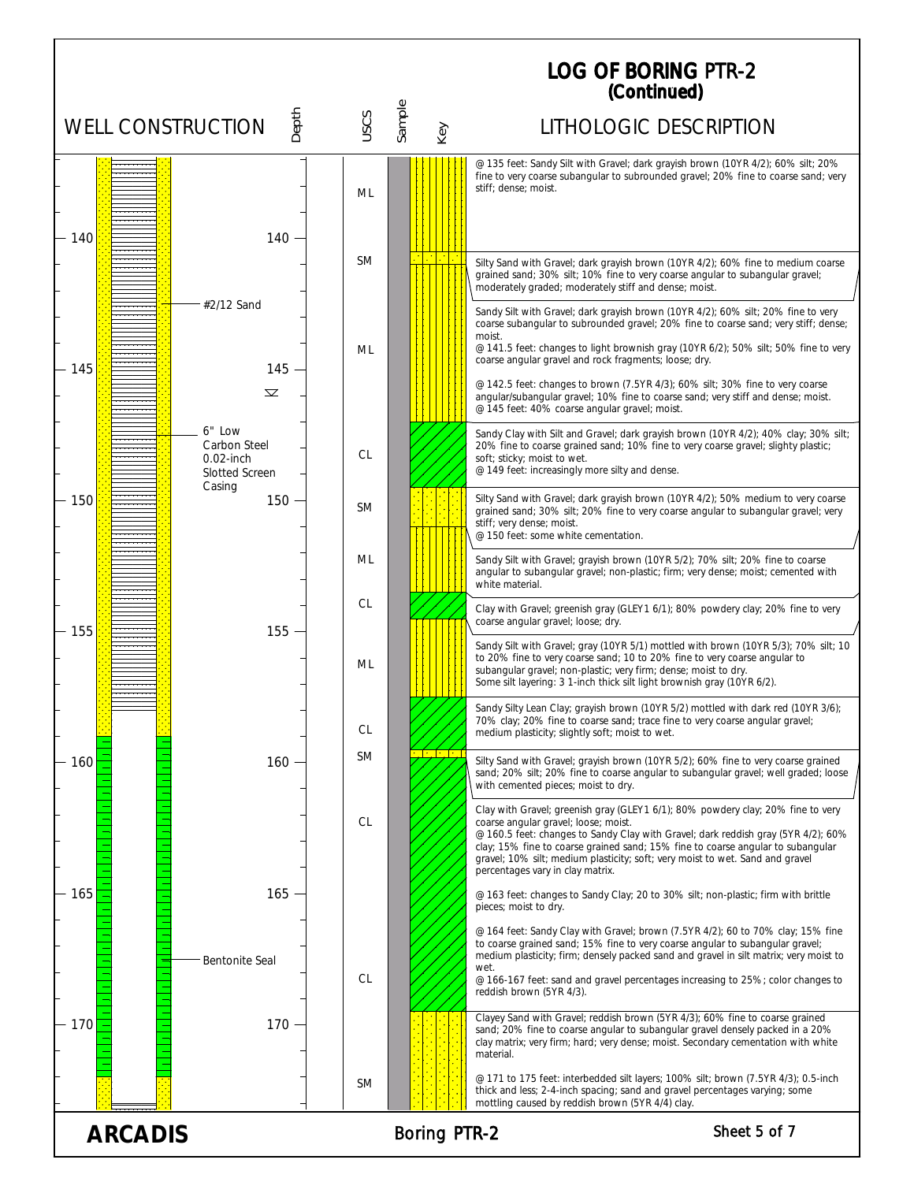## LOG OF BORING (Continued) PTR-2

|                          |                                                                    |           |                     | (Continuea)                                                                                                                                                                                                                                                                                                                                                                                                          |
|--------------------------|--------------------------------------------------------------------|-----------|---------------------|----------------------------------------------------------------------------------------------------------------------------------------------------------------------------------------------------------------------------------------------------------------------------------------------------------------------------------------------------------------------------------------------------------------------|
| <b>WELL CONSTRUCTION</b> | Depth                                                              | USCS      | Sample<br>Key       | LITHOLOGIC DESCRIPTION                                                                                                                                                                                                                                                                                                                                                                                               |
| 140                      | 140                                                                | ML        |                     | @ 135 feet: Sandy Silt with Gravel; dark grayish brown (10YR 4/2); 60% silt; 20%<br>fine to very coarse subangular to subrounded gravel; 20% fine to coarse sand; very<br>stiff: dense: moist.                                                                                                                                                                                                                       |
|                          |                                                                    | <b>SM</b> | $\mathbb{R}^n$      | Silty Sand with Gravel; dark grayish brown (10YR 4/2); 60% fine to medium coarse<br>grained sand; 30% silt; 10% fine to very coarse angular to subangular gravel;<br>moderately graded; moderately stiff and dense; moist.                                                                                                                                                                                           |
| 145                      | #2/12 Sand<br>$145 -$                                              | ML        |                     | Sandy Silt with Gravel; dark grayish brown (10YR 4/2); 60% silt; 20% fine to very<br>coarse subangular to subrounded gravel; 20% fine to coarse sand; very stiff; dense;<br>moist.<br>@ 141.5 feet: changes to light brownish gray (10YR 6/2); 50% silt; 50% fine to very<br>coarse angular gravel and rock fragments; loose; dry.                                                                                   |
|                          | $\overline{\mathbf{\Sigma}}$                                       |           |                     | @ 142.5 feet: changes to brown (7.5YR 4/3); 60% silt; 30% fine to very coarse<br>angular/subangular gravel; 10% fine to coarse sand; very stiff and dense; moist.<br>@ 145 feet: 40% coarse angular gravel; moist.                                                                                                                                                                                                   |
|                          | 6" Low<br>Carbon Steel<br>$0.02$ -inch<br>Slotted Screen<br>Casing | CL        |                     | Sandy Clay with Silt and Gravel; dark grayish brown (10YR 4/2); 40% clay; 30% silt;<br>20% fine to coarse grained sand; 10% fine to very coarse gravel; slighty plastic;<br>soft; sticky; moist to wet.<br>@ 149 feet: increasingly more silty and dense.                                                                                                                                                            |
| 150                      | $150 -$                                                            | <b>SM</b> |                     | Silty Sand with Gravel; dark grayish brown (10YR 4/2); 50% medium to very coarse<br>grained sand; 30% silt; 20% fine to very coarse angular to subangular gravel; very<br>stiff; very dense; moist.<br>@ 150 feet: some white cementation.                                                                                                                                                                           |
|                          |                                                                    | ML        |                     | Sandy Silt with Gravel; grayish brown (10YR 5/2); 70% silt; 20% fine to coarse<br>angular to subangular gravel; non-plastic; firm; very dense; moist; cemented with<br>white material.                                                                                                                                                                                                                               |
| 155                      | 155                                                                | CL        |                     | Clay with Gravel; greenish gray (GLEY1 6/1); 80% powdery clay; 20% fine to very<br>coarse angular gravel; loose; dry.                                                                                                                                                                                                                                                                                                |
|                          |                                                                    | ML        |                     | Sandy Silt with Gravel; gray (10YR 5/1) mottled with brown (10YR 5/3); 70% silt; 10<br>to 20% fine to very coarse sand; 10 to 20% fine to very coarse angular to<br>subangular gravel; non-plastic; very firm; dense; moist to dry.<br>Some silt layering: 3 1-inch thick silt light brownish gray (10YR 6/2).                                                                                                       |
|                          |                                                                    | CL        |                     | Sandy Silty Lean Clay; grayish brown (10YR 5/2) mottled with dark red (10YR 3/6);<br>70% clay; 20% fine to coarse sand; trace fine to very coarse angular gravel;<br>medium plasticity; slightly soft; moist to wet.                                                                                                                                                                                                 |
| 160                      | 160 ·                                                              | SM        |                     | Silty Sand with Gravel; grayish brown (10YR 5/2); 60% fine to very coarse grained<br>sand; 20% silt; 20% fine to coarse angular to subangular gravel; well graded; loose<br>with cemented pieces; moist to dry.                                                                                                                                                                                                      |
|                          |                                                                    | CL        |                     | Clay with Gravel; greenish gray (GLEY1 6/1); 80% powdery clay; 20% fine to very<br>coarse angular gravel; loose; moist.<br>@ 160.5 feet: changes to Sandy Clay with Gravel; dark reddish gray (5YR 4/2); 60%<br>clay; 15% fine to coarse grained sand; 15% fine to coarse angular to subangular<br>gravel; 10% silt; medium plasticity; soft; very moist to wet. Sand and gravel<br>percentages vary in clay matrix. |
| 165                      | 165                                                                |           |                     | @ 163 feet: changes to Sandy Clay; 20 to 30% silt; non-plastic; firm with brittle<br>pieces; moist to dry.                                                                                                                                                                                                                                                                                                           |
|                          | <b>Bentonite Seal</b>                                              | CL        |                     | @ 164 feet: Sandy Clay with Gravel; brown (7.5YR 4/2); 60 to 70% clay; 15% fine<br>to coarse grained sand; 15% fine to very coarse angular to subangular gravel;<br>medium plasticity; firm; densely packed sand and gravel in silt matrix; very moist to<br>wet.<br>@ 166-167 feet: sand and gravel percentages increasing to 25%; color changes to<br>reddish brown (5YR 4/3).                                     |
| - 170                    | 170                                                                |           |                     | Clayey Sand with Gravel; reddish brown (5YR 4/3); 60% fine to coarse grained<br>sand; 20% fine to coarse angular to subangular gravel densely packed in a 20%<br>clay matrix; very firm; hard; very dense; moist. Secondary cementation with white<br>material.                                                                                                                                                      |
|                          |                                                                    | <b>SM</b> |                     | @ 171 to 175 feet: interbedded silt layers; 100% silt; brown (7.5YR 4/3); 0.5-inch<br>thick and less; 2-4-inch spacing; sand and gravel percentages varying; some<br>mottling caused by reddish brown (5YR 4/4) clay.                                                                                                                                                                                                |
| <b>ARCADIS</b>           |                                                                    |           | <b>Boring PTR-2</b> | Sheet 5 of 7                                                                                                                                                                                                                                                                                                                                                                                                         |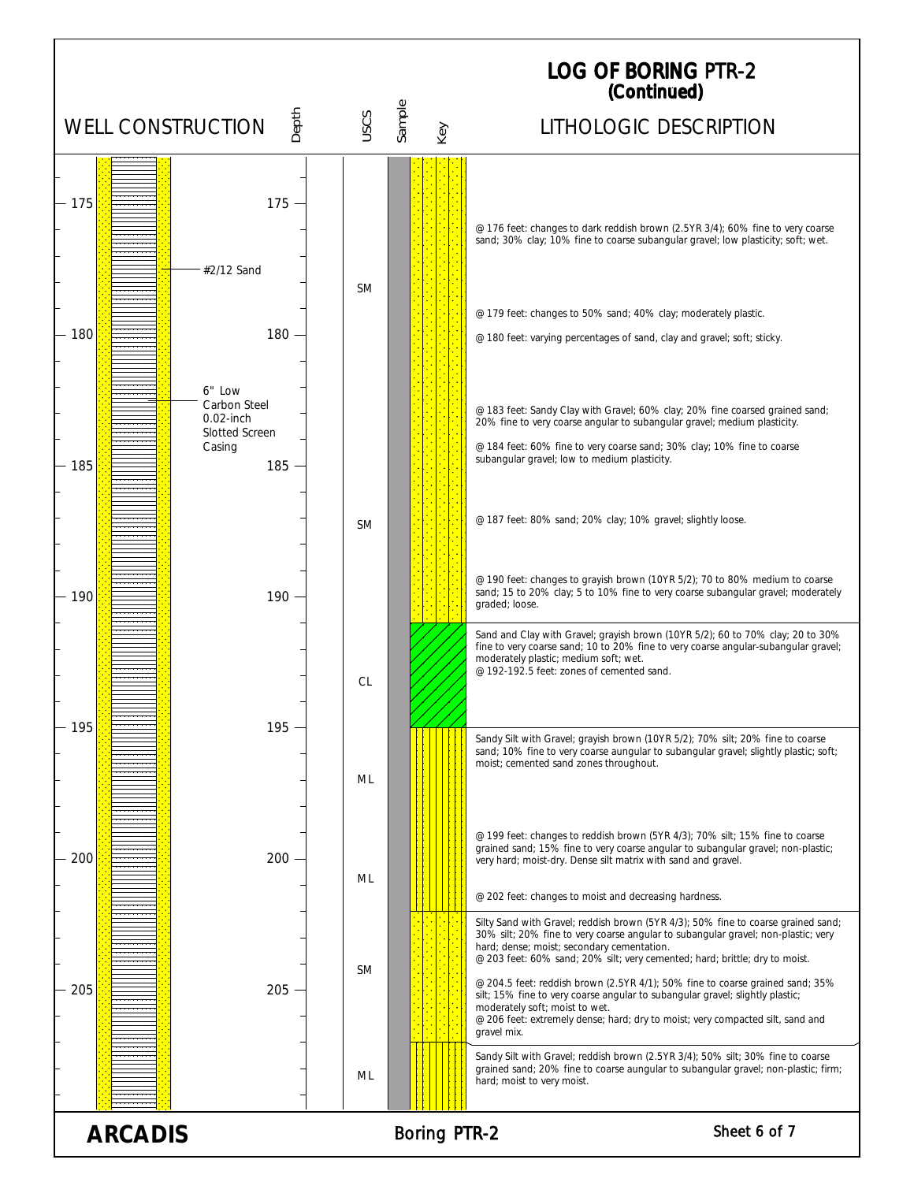|                          |                                                                            |           |                     | <b>LOG OF BORING PTR-2</b><br>(Continued)                                                                                                                                                                                                                                                                                                                                                                                                                                                                                                                                                                |
|--------------------------|----------------------------------------------------------------------------|-----------|---------------------|----------------------------------------------------------------------------------------------------------------------------------------------------------------------------------------------------------------------------------------------------------------------------------------------------------------------------------------------------------------------------------------------------------------------------------------------------------------------------------------------------------------------------------------------------------------------------------------------------------|
| <b>WELL CONSTRUCTION</b> | Depth                                                                      | USCS      | Sample<br>Key       | LITHOLOGIC DESCRIPTION                                                                                                                                                                                                                                                                                                                                                                                                                                                                                                                                                                                   |
| $-175$                   | $175 -$<br>#2/12 Sand                                                      | <b>SM</b> |                     | @ 176 feet: changes to dark reddish brown (2.5YR 3/4); 60% fine to very coarse<br>sand; 30% clay; 10% fine to coarse subangular gravel; low plasticity; soft; wet.                                                                                                                                                                                                                                                                                                                                                                                                                                       |
| 180                      | 180<br>6" Low                                                              |           |                     | @ 179 feet: changes to 50% sand; 40% clay; moderately plastic.<br>@ 180 feet: varying percentages of sand, clay and gravel; soft; sticky.                                                                                                                                                                                                                                                                                                                                                                                                                                                                |
| 185                      | Carbon Steel<br>$0.02$ -inch<br><b>Slotted Screen</b><br>Casing<br>$185 -$ |           |                     | @ 183 feet: Sandy Clay with Gravel; 60% clay; 20% fine coarsed grained sand;<br>20% fine to very coarse angular to subangular gravel; medium plasticity.<br>@ 184 feet: 60% fine to very coarse sand; 30% clay; 10% fine to coarse<br>subangular gravel; low to medium plasticity.                                                                                                                                                                                                                                                                                                                       |
|                          |                                                                            | SM.       |                     | @ 187 feet: 80% sand; 20% clay; 10% gravel; slightly loose.                                                                                                                                                                                                                                                                                                                                                                                                                                                                                                                                              |
| 190                      | 190                                                                        |           |                     | @ 190 feet: changes to grayish brown (10YR 5/2); 70 to 80% medium to coarse<br>sand; 15 to 20% clay; 5 to 10% fine to very coarse subangular gravel; moderately<br>graded; loose.<br>Sand and Clay with Gravel; grayish brown (10YR 5/2); 60 to 70% clay; 20 to 30%                                                                                                                                                                                                                                                                                                                                      |
| 195                      | 195                                                                        | <b>CL</b> |                     | fine to very coarse sand; 10 to 20% fine to very coarse angular-subangular gravel;<br>moderately plastic; medium soft; wet.<br>@ 192-192.5 feet: zones of cemented sand.                                                                                                                                                                                                                                                                                                                                                                                                                                 |
|                          |                                                                            | ML        |                     | Sandy Silt with Gravel; grayish brown (10YR 5/2); 70% silt; 20% fine to coarse<br>sand; 10% fine to very coarse aungular to subangular gravel; slightly plastic; soft;<br>moist; cemented sand zones throughout.                                                                                                                                                                                                                                                                                                                                                                                         |
| 200                      | 200                                                                        | ML        |                     | @ 199 feet: changes to reddish brown (5YR 4/3); 70% silt; 15% fine to coarse<br>grained sand; 15% fine to very coarse angular to subangular gravel; non-plastic;<br>very hard; moist-dry. Dense silt matrix with sand and gravel.<br>@ 202 feet: changes to moist and decreasing hardness.                                                                                                                                                                                                                                                                                                               |
| 205                      | 205                                                                        | <b>SM</b> |                     | Silty Sand with Gravel; reddish brown (5YR 4/3); 50% fine to coarse grained sand;<br>30% silt; 20% fine to very coarse angular to subangular gravel; non-plastic; very<br>hard; dense; moist; secondary cementation.<br>@ 203 feet: 60% sand; 20% silt; very cemented; hard; brittle; dry to moist.<br>@ 204.5 feet: reddish brown (2.5YR 4/1); 50% fine to coarse grained sand; 35%<br>silt; 15% fine to very coarse angular to subangular gravel; slightly plastic;<br>moderately soft; moist to wet.<br>@ 206 feet: extremely dense; hard; dry to moist; very compacted silt, sand and<br>gravel mix. |
|                          |                                                                            | ML        |                     | Sandy Silt with Gravel; reddish brown (2.5YR 3/4); 50% silt; 30% fine to coarse<br>grained sand; 20% fine to coarse aungular to subangular gravel; non-plastic; firm;<br>hard; moist to very moist.                                                                                                                                                                                                                                                                                                                                                                                                      |
| <b>ARCADIS</b>           |                                                                            |           | <b>Boring PTR-2</b> | Sheet 6 of 7                                                                                                                                                                                                                                                                                                                                                                                                                                                                                                                                                                                             |